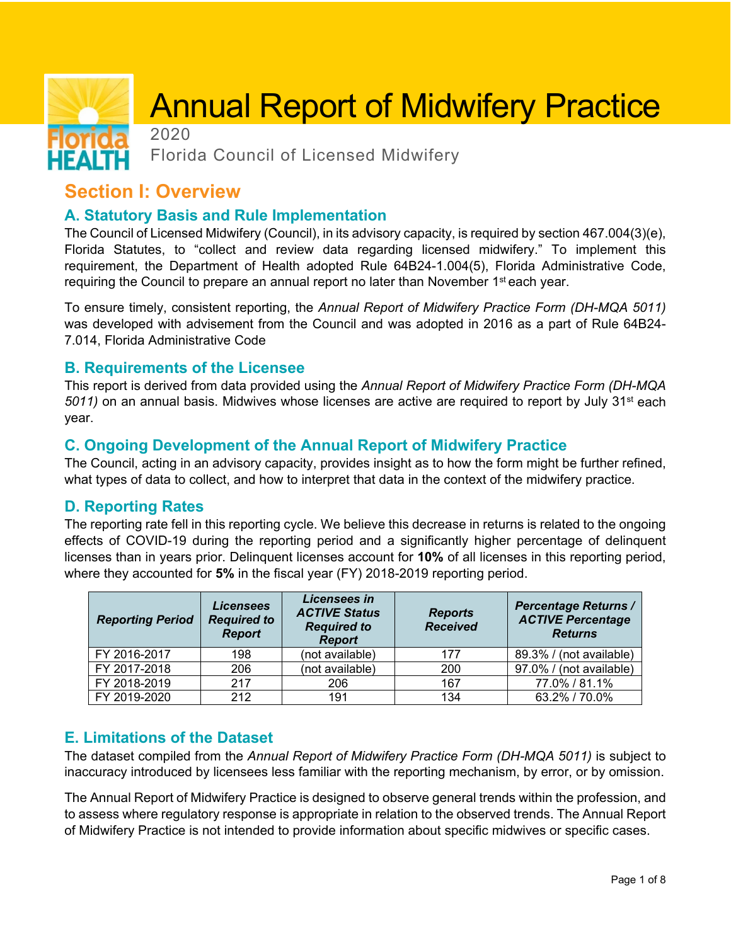# Annual Report of Midwifery Practice

2020

Florida Council of Licensed Midwifery

## **Section I: Overview**

НЕАІ

### **A. Statutory Basis and Rule Implementation**

The Council of Licensed Midwifery (Council), in its advisory capacity, is required by section 467.004(3)(e), Florida Statutes, to "collect and review data regarding licensed midwifery." To implement this requirement, the Department of Health adopted Rule 64B24-1.004(5), Florida Administrative Code, requiring the Council to prepare an annual report no later than November 1<sup>st</sup> each year.

To ensure timely, consistent reporting, the *Annual Report of Midwifery Practice Form (DH-MQA 5011)*  was developed with advisement from the Council and was adopted in 2016 as a part of Rule 64B24- 7.014, Florida Administrative Code

#### **B. Requirements of the Licensee**

This report is derived from data provided using the *Annual Report of Midwifery Practice Form (DH-MQA 5011)* on an annual basis. Midwives whose licenses are active are required to report by July 31st each year.

#### **C. Ongoing Development of the Annual Report of Midwifery Practice**

The Council, acting in an advisory capacity, provides insight as to how the form might be further refined, what types of data to collect, and how to interpret that data in the context of the midwifery practice.

#### **D. Reporting Rates**

The reporting rate fell in this reporting cycle. We believe this decrease in returns is related to the ongoing effects of COVID-19 during the reporting period and a significantly higher percentage of delinquent licenses than in years prior. Delinquent licenses account for **10%** of all licenses in this reporting period, where they accounted for **5%** in the fiscal year (FY) 2018-2019 reporting period.

| <b>Reporting Period</b> | <b>Licensees</b><br><b>Required to</b><br><b>Report</b> | Licensees in<br><b>ACTIVE Status</b><br><b>Required to</b><br><b>Report</b> | <b>Reports</b><br><b>Received</b> | <b>Percentage Returns /</b><br><b>ACTIVE Percentage</b><br><b>Returns</b> |
|-------------------------|---------------------------------------------------------|-----------------------------------------------------------------------------|-----------------------------------|---------------------------------------------------------------------------|
| FY 2016-2017            | 198                                                     | (not available)                                                             | 177                               | 89.3% / (not available)                                                   |
| FY 2017-2018            | 206                                                     | (not available)                                                             | 200                               | 97.0% / (not available)                                                   |
| FY 2018-2019            | 217                                                     | 206                                                                         | 167                               | 77.0% / 81.1%                                                             |
| FY 2019-2020            | 212                                                     | 191                                                                         | 134                               | 63.2% / 70.0%                                                             |

#### **E. Limitations of the Dataset**

The dataset compiled from the *Annual Report of Midwifery Practice Form (DH-MQA 5011)* is subject to inaccuracy introduced by licensees less familiar with the reporting mechanism, by error, or by omission.

The Annual Report of Midwifery Practice is designed to observe general trends within the profession, and to assess where regulatory response is appropriate in relation to the observed trends. The Annual Report of Midwifery Practice is not intended to provide information about specific midwives or specific cases.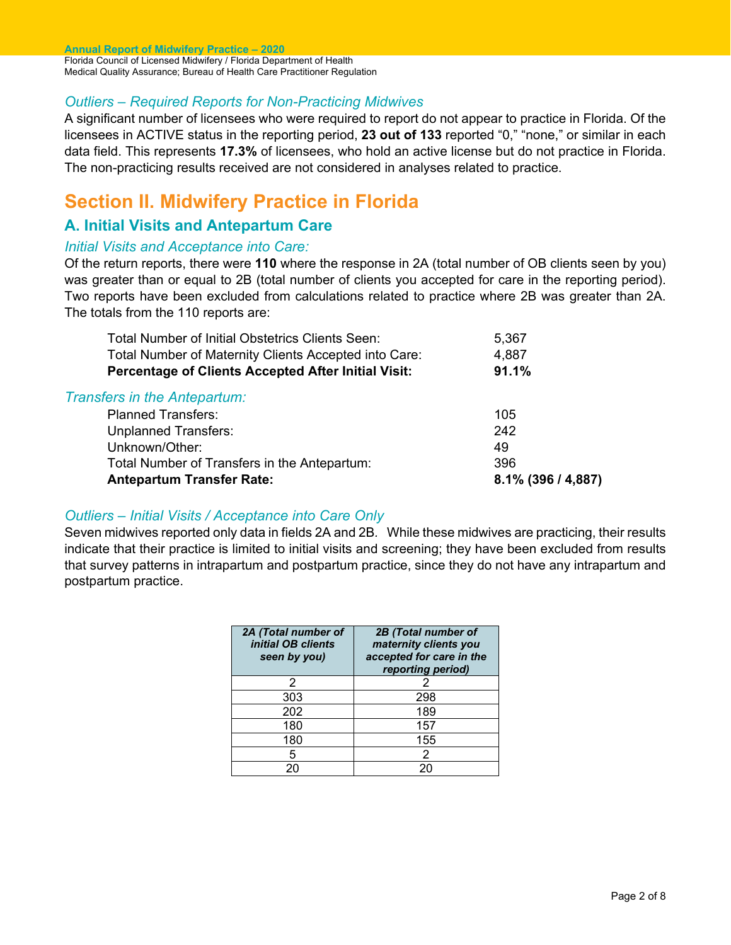**Annual Report of Midwifery Practice – 2020**  Florida Council of Licensed Midwifery / Florida Department of Health Medical Quality Assurance; Bureau of Health Care Practitioner Regulation

#### *Outliers – Required Reports for Non-Practicing Midwives*

A significant number of licensees who were required to report do not appear to practice in Florida. Of the licensees in ACTIVE status in the reporting period, **23 out of 133** reported "0," "none," or similar in each data field. This represents **17.3%** of licensees, who hold an active license but do not practice in Florida. The non-practicing results received are not considered in analyses related to practice.

## **Section II. Midwifery Practice in Florida**

#### **A. Initial Visits and Antepartum Care**

#### *Initial Visits and Acceptance into Care:*

Of the return reports, there were **110** where the response in 2A (total number of OB clients seen by you) was greater than or equal to 2B (total number of clients you accepted for care in the reporting period). Two reports have been excluded from calculations related to practice where 2B was greater than 2A. The totals from the 110 reports are:

| Total Number of Initial Obstetrics Clients Seen:           | 5,367                 |
|------------------------------------------------------------|-----------------------|
| Total Number of Maternity Clients Accepted into Care:      | 4,887                 |
| <b>Percentage of Clients Accepted After Initial Visit:</b> | 91.1%                 |
| <b>Transfers in the Antepartum:</b>                        |                       |
| <b>Planned Transfers:</b>                                  | 105                   |
| <b>Unplanned Transfers:</b>                                | 242                   |
| Unknown/Other:                                             | 49                    |
| Total Number of Transfers in the Antepartum:               | 396                   |
| <b>Antepartum Transfer Rate:</b>                           | $8.1\%$ (396 / 4,887) |

#### *Outliers – Initial Visits / Acceptance into Care Only*

Seven midwives reported only data in fields 2A and 2B*.* While these midwives are practicing, their results indicate that their practice is limited to initial visits and screening; they have been excluded from results that survey patterns in intrapartum and postpartum practice, since they do not have any intrapartum and postpartum practice.

| 2A (Total number of<br>initial OB clients<br>seen by you) | 2B (Total number of<br>maternity clients you<br>accepted for care in the<br>reporting period) |
|-----------------------------------------------------------|-----------------------------------------------------------------------------------------------|
| 2                                                         | 2                                                                                             |
| 303                                                       | 298                                                                                           |
| 202                                                       | 189                                                                                           |
| 180                                                       | 157                                                                                           |
| 180                                                       | 155                                                                                           |
| 5                                                         | 2                                                                                             |
|                                                           | 20                                                                                            |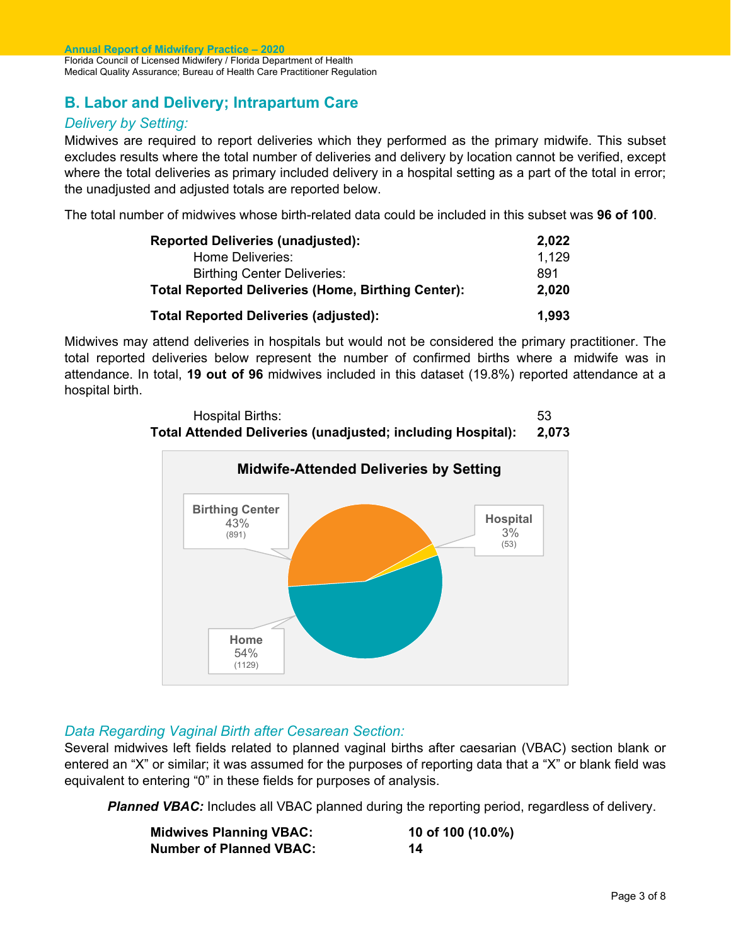#### **B. Labor and Delivery; Intrapartum Care**

#### *Delivery by Setting:*

Midwives are required to report deliveries which they performed as the primary midwife. This subset excludes results where the total number of deliveries and delivery by location cannot be verified, except where the total deliveries as primary included delivery in a hospital setting as a part of the total in error; the unadjusted and adjusted totals are reported below.

The total number of midwives whose birth-related data could be included in this subset was **96 of 100**.

| <b>Reported Deliveries (unadjusted):</b>                  | 2,022 |
|-----------------------------------------------------------|-------|
| Home Deliveries:                                          | 1.129 |
| <b>Birthing Center Deliveries:</b>                        | 891   |
| <b>Total Reported Deliveries (Home, Birthing Center):</b> | 2,020 |
| <b>Total Reported Deliveries (adjusted):</b>              | 1,993 |

Midwives may attend deliveries in hospitals but would not be considered the primary practitioner. The total reported deliveries below represent the number of confirmed births where a midwife was in attendance. In total, **19 out of 96** midwives included in this dataset (19.8%) reported attendance at a hospital birth.





#### *Data Regarding Vaginal Birth after Cesarean Section:*

Several midwives left fields related to planned vaginal births after caesarian (VBAC) section blank or entered an "X" or similar; it was assumed for the purposes of reporting data that a "X" or blank field was equivalent to entering "0" in these fields for purposes of analysis.

**Planned VBAC:** Includes all VBAC planned during the reporting period, regardless of delivery.

| <b>Midwives Planning VBAC:</b> | 10 of 100 (10.0%) |
|--------------------------------|-------------------|
| <b>Number of Planned VBAC:</b> | 14                |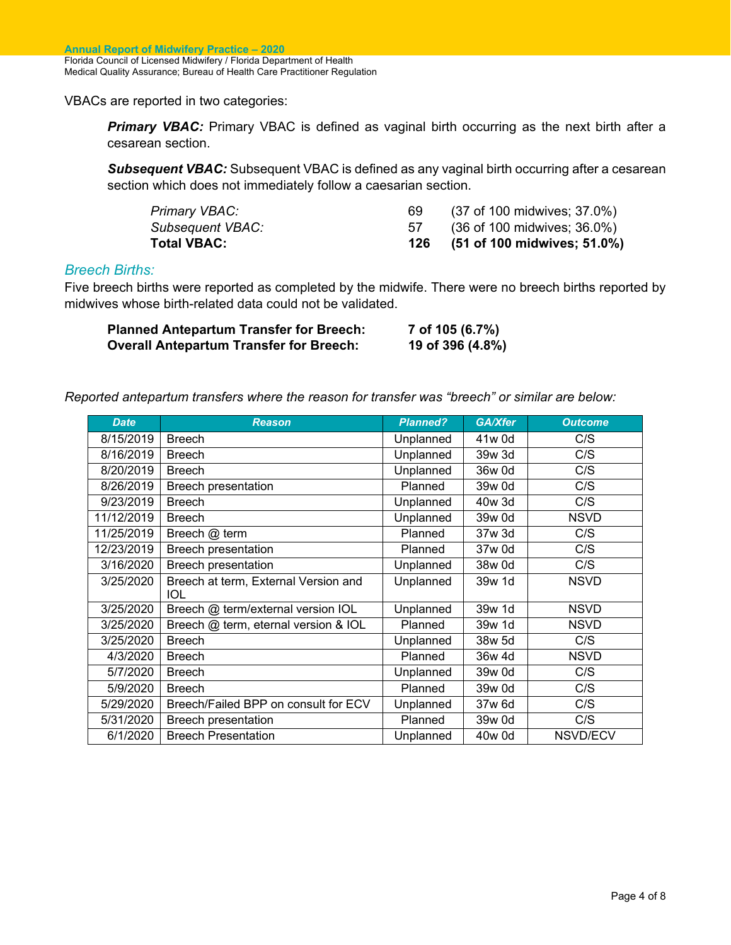VBACs are reported in two categories:

**Primary VBAC:** Primary VBAC is defined as vaginal birth occurring as the next birth after a cesarean section.

**Subsequent VBAC:** Subsequent VBAC is defined as any vaginal birth occurring after a cesarean section which does not immediately follow a caesarian section.

| <b>Total VBAC:</b>      |    | (51 of 100 midwives; 51.0%) |
|-------------------------|----|-----------------------------|
| <b>Subsequent VBAC:</b> |    | (36 of 100 midwives; 36.0%) |
| Primary VBAC:           | 69 | (37 of 100 midwives; 37.0%) |

#### *Breech Births:*

Five breech births were reported as completed by the midwife. There were no breech births reported by midwives whose birth-related data could not be validated.

| <b>Planned Antepartum Transfer for Breech:</b> | 7 of 105 (6.7%)  |
|------------------------------------------------|------------------|
| <b>Overall Antepartum Transfer for Breech:</b> | 19 of 396 (4.8%) |

*Reported antepartum transfers where the reason for transfer was "breech" or similar are below:* 

| <b>Date</b> | <b>Reason</b>                               | <b>Planned?</b> | GA/Xfer | <b>Outcome</b>  |
|-------------|---------------------------------------------|-----------------|---------|-----------------|
| 8/15/2019   | <b>Breech</b>                               | Unplanned       | 41w 0d  | C/S             |
| 8/16/2019   | <b>Breech</b>                               | Unplanned       | 39w 3d  | C/S             |
| 8/20/2019   | <b>Breech</b>                               | Unplanned       | 36w 0d  | C/S             |
| 8/26/2019   | <b>Breech presentation</b>                  | Planned         | 39w 0d  | C/S             |
| 9/23/2019   | <b>Breech</b>                               | Unplanned       | 40w 3d  | C/S             |
| 11/12/2019  | <b>Breech</b>                               | Unplanned       | 39w 0d  | <b>NSVD</b>     |
| 11/25/2019  | Breech @ term                               | Planned         | 37w 3d  | C/S             |
| 12/23/2019  | Breech presentation                         | Planned         | 37w 0d  | C/S             |
| 3/16/2020   | <b>Breech presentation</b>                  | Unplanned       | 38w 0d  | C/S             |
| 3/25/2020   | Breech at term, External Version and<br>IOL | Unplanned       | 39w 1d  | <b>NSVD</b>     |
| 3/25/2020   | Breech @ term/external version IOL          | Unplanned       | 39w 1d  | <b>NSVD</b>     |
| 3/25/2020   | Breech @ term, eternal version & IOL        | Planned         | 39w 1d  | <b>NSVD</b>     |
| 3/25/2020   | <b>Breech</b>                               | Unplanned       | 38w 5d  | C/S             |
| 4/3/2020    | <b>Breech</b>                               | Planned         | 36w 4d  | <b>NSVD</b>     |
| 5/7/2020    | <b>Breech</b>                               | Unplanned       | 39w 0d  | C/S             |
| 5/9/2020    | <b>Breech</b>                               | Planned         | 39w 0d  | C/S             |
| 5/29/2020   | Breech/Failed BPP on consult for ECV        | Unplanned       | 37w 6d  | C/S             |
| 5/31/2020   | Breech presentation                         | Planned         | 39w 0d  | C/S             |
| 6/1/2020    | <b>Breech Presentation</b>                  | Unplanned       | 40w 0d  | <b>NSVD/ECV</b> |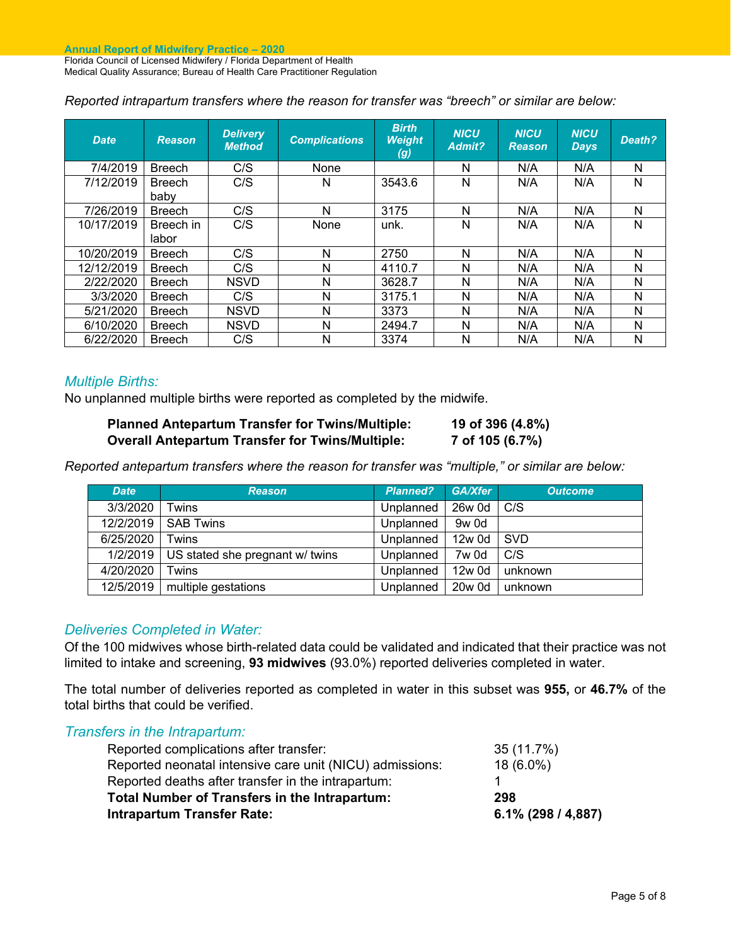*Reported intrapartum transfers where the reason for transfer was "breech" or similar are below:* 

| <b>Date</b> | <b>Reason</b>         | <b>Delivery</b><br><b>Method</b> | <b>Complications</b> | <b>Birth</b><br><b>Weight</b><br>(g) | <b>NICU</b><br>Admit? | <b>NICU</b><br><b>Reason</b> | <b>NICU</b><br>Days, | Death? |
|-------------|-----------------------|----------------------------------|----------------------|--------------------------------------|-----------------------|------------------------------|----------------------|--------|
| 7/4/2019    | <b>Breech</b>         | C/S                              | None                 |                                      | N                     | N/A                          | N/A                  | N      |
| 7/12/2019   | <b>Breech</b><br>baby | C/S                              | N                    | 3543.6                               | N                     | N/A                          | N/A                  | N      |
| 7/26/2019   | <b>Breech</b>         | C/S                              | N                    | 3175                                 | N                     | N/A                          | N/A                  | N      |
| 10/17/2019  | Breech in<br>labor    | C/S                              | None                 | unk.                                 | N                     | N/A                          | N/A                  | N      |
| 10/20/2019  | <b>Breech</b>         | C/S                              | N                    | 2750                                 | N                     | N/A                          | N/A                  | N      |
| 12/12/2019  | <b>Breech</b>         | C/S                              | N                    | 4110.7                               | N                     | N/A                          | N/A                  | N      |
| 2/22/2020   | <b>Breech</b>         | <b>NSVD</b>                      | N                    | 3628.7                               | N                     | N/A                          | N/A                  | N      |
| 3/3/2020    | <b>Breech</b>         | C/S                              | N                    | 3175.1                               | N                     | N/A                          | N/A                  | N      |
| 5/21/2020   | <b>Breech</b>         | <b>NSVD</b>                      | N                    | 3373                                 | N                     | N/A                          | N/A                  | N      |
| 6/10/2020   | <b>Breech</b>         | <b>NSVD</b>                      | N                    | 2494.7                               | N                     | N/A                          | N/A                  | N      |
| 6/22/2020   | <b>Breech</b>         | C/S                              | N                    | 3374                                 | N                     | N/A                          | N/A                  | N      |

#### *Multiple Births:*

No unplanned multiple births were reported as completed by the midwife.

| <b>Planned Antepartum Transfer for Twins/Multiple:</b> | 19 of 396 (4.8%) |
|--------------------------------------------------------|------------------|
| <b>Overall Antepartum Transfer for Twins/Multiple:</b> | 7 of 105 (6.7%)  |

*Reported antepartum transfers where the reason for transfer was "multiple," or similar are below:* 

| <b>Date</b> | <b>Reason</b>                   | <b>Planned?</b> | GA/Xfer | <b>Outcome</b> |
|-------------|---------------------------------|-----------------|---------|----------------|
| 3/3/2020    | Twins                           | Unplanned       | 26w 0d  | C/S            |
| 12/2/2019   | <b>SAB Twins</b>                | Unplanned       | 9w 0d   |                |
| 6/25/2020   | Twins                           | Unplanned       | 12w 0d  | <b>SVD</b>     |
| 1/2/2019    | US stated she pregnant w/ twins | Unplanned       | 7w 0d   | C/S            |
| 4/20/2020   | Twins                           | Unplanned       | 12w 0d  | unknown        |
| 12/5/2019   | multiple gestations             | Unplanned       | 20w 0d  | unknown        |

#### *Deliveries Completed in Water:*

Of the 100 midwives whose birth-related data could be validated and indicated that their practice was not limited to intake and screening, **93 midwives** (93.0%) reported deliveries completed in water.

The total number of deliveries reported as completed in water in this subset was **955,** or **46.7%** of the total births that could be verified.

| Transfers in the Intrapartum:                            |                       |
|----------------------------------------------------------|-----------------------|
| Reported complications after transfer:                   | 35 (11.7%)            |
| Reported neonatal intensive care unit (NICU) admissions: | 18 (6.0%)             |
| Reported deaths after transfer in the intrapartum:       |                       |
| Total Number of Transfers in the Intrapartum:            | 298                   |
| <b>Intrapartum Transfer Rate:</b>                        | $6.1\%$ (298 / 4,887) |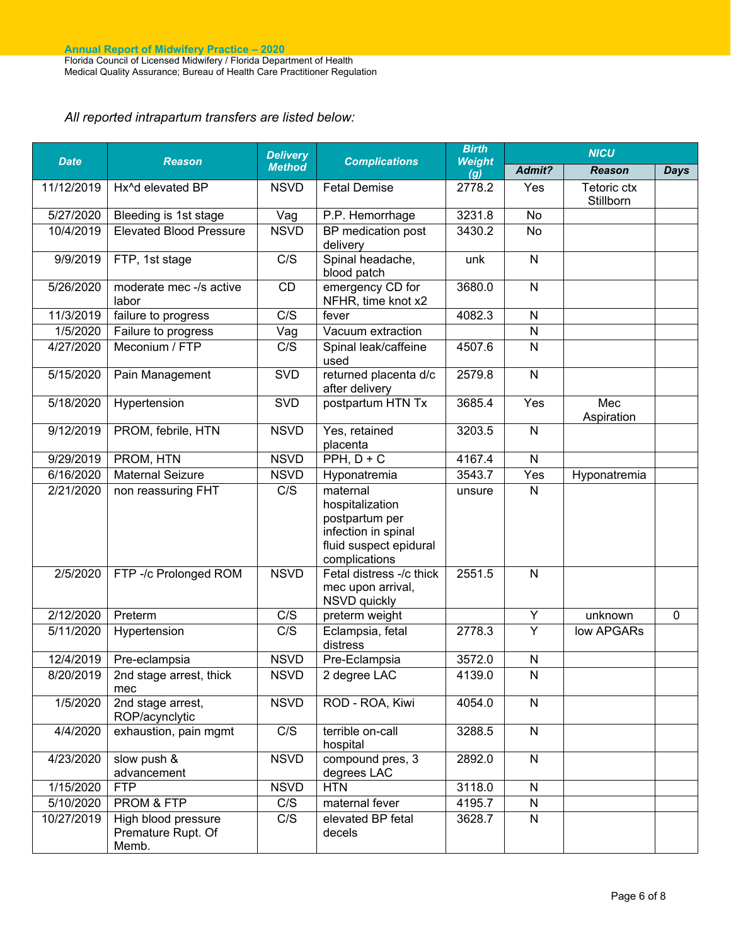#### *All reported intrapartum transfers are listed below:*

| <b>Date</b> | <b>Reason</b>                                      | <b>Delivery</b><br><b>Method</b> | <b>Complications</b>                                                                                            | <b>Birth</b><br><b>Weight</b><br>(g) | <b>NICU</b>    |                          |             |
|-------------|----------------------------------------------------|----------------------------------|-----------------------------------------------------------------------------------------------------------------|--------------------------------------|----------------|--------------------------|-------------|
|             |                                                    |                                  |                                                                                                                 |                                      | Admit?         | <b>Reason</b>            | <b>Days</b> |
| 11/12/2019  | Hx^d elevated BP                                   | <b>NSVD</b>                      | <b>Fetal Demise</b>                                                                                             | 2778.2                               | Yes            | Tetoric ctx<br>Stillborn |             |
| 5/27/2020   | Bleeding is 1st stage                              | Vag                              | P.P. Hemorrhage                                                                                                 | 3231.8                               | No             |                          |             |
| 10/4/2019   | <b>Elevated Blood Pressure</b>                     | <b>NSVD</b>                      | BP medication post<br>delivery                                                                                  | 3430.2                               | No             |                          |             |
| 9/9/2019    | FTP, 1st stage                                     | C/S                              | Spinal headache,<br>blood patch                                                                                 | unk                                  | $\mathsf{N}$   |                          |             |
| 5/26/2020   | moderate mec -/s active<br>labor                   | CD                               | emergency CD for<br>NFHR, time knot x2                                                                          | 3680.0                               | $\mathsf{N}$   |                          |             |
| 11/3/2019   | failure to progress                                | C/S                              | fever                                                                                                           | 4082.3                               | $\mathsf{N}$   |                          |             |
| 1/5/2020    | Failure to progress                                | Vag                              | Vacuum extraction                                                                                               |                                      | $\overline{N}$ |                          |             |
| 4/27/2020   | Meconium / FTP                                     | C/S                              | Spinal leak/caffeine<br>used                                                                                    | 4507.6                               | N              |                          |             |
| 5/15/2020   | Pain Management                                    | SVD                              | returned placenta d/c<br>after delivery                                                                         | 2579.8                               | N              |                          |             |
| 5/18/2020   | Hypertension                                       | SVD                              | postpartum HTN Tx                                                                                               | 3685.4                               | Yes            | Mec<br>Aspiration        |             |
| 9/12/2019   | PROM, febrile, HTN                                 | <b>NSVD</b>                      | Yes, retained<br>placenta                                                                                       | 3203.5                               | $\mathsf{N}$   |                          |             |
| 9/29/2019   | PROM, HTN                                          | <b>NSVD</b>                      | $PPH, D+C$                                                                                                      | 4167.4                               | $\mathsf{N}$   |                          |             |
| 6/16/2020   | <b>Maternal Seizure</b>                            | <b>NSVD</b>                      | Hyponatremia                                                                                                    | 3543.7                               | Yes            | Hyponatremia             |             |
| 2/21/2020   | non reassuring FHT                                 | C/S                              | maternal<br>hospitalization<br>postpartum per<br>infection in spinal<br>fluid suspect epidural<br>complications | unsure                               | N              |                          |             |
| 2/5/2020    | FTP -/c Prolonged ROM                              | <b>NSVD</b>                      | Fetal distress -/c thick<br>mec upon arrival,<br><b>NSVD</b> quickly                                            | 2551.5                               | $\mathsf{N}$   |                          |             |
| 2/12/2020   | Preterm                                            | C/S                              | preterm weight                                                                                                  |                                      | Υ              | unknown                  | 0           |
| 5/11/2020   | Hypertension                                       | C/S                              | Eclampsia, fetal<br>distress                                                                                    | 2778.3                               | Y              | low APGARs               |             |
| 12/4/2019   | Pre-eclampsia                                      | <b>NSVD</b>                      | Pre-Eclampsia                                                                                                   | 3572.0                               | N              |                          |             |
| 8/20/2019   | 2nd stage arrest, thick<br>mec                     | <b>NSVD</b>                      | 2 degree LAC                                                                                                    | 4139.0                               | $\mathsf{N}$   |                          |             |
| 1/5/2020    | 2nd stage arrest,<br>ROP/acynclytic                | <b>NSVD</b>                      | ROD - ROA, Kiwi                                                                                                 | 4054.0                               | $\mathsf{N}$   |                          |             |
| 4/4/2020    | exhaustion, pain mgmt                              | C/S                              | terrible on-call<br>hospital                                                                                    | 3288.5                               | $\mathsf{N}$   |                          |             |
| 4/23/2020   | slow push &<br>advancement                         | <b>NSVD</b>                      | compound pres, 3<br>degrees LAC                                                                                 | 2892.0                               | N              |                          |             |
| 1/15/2020   | <b>FTP</b>                                         | <b>NSVD</b>                      | <b>HTN</b>                                                                                                      | 3118.0                               | N              |                          |             |
| 5/10/2020   | PROM & FTP                                         | C/S                              | maternal fever                                                                                                  | 4195.7                               | N              |                          |             |
| 10/27/2019  | High blood pressure<br>Premature Rupt. Of<br>Memb. | C/S                              | elevated BP fetal<br>decels                                                                                     | 3628.7                               | $\mathsf{N}$   |                          |             |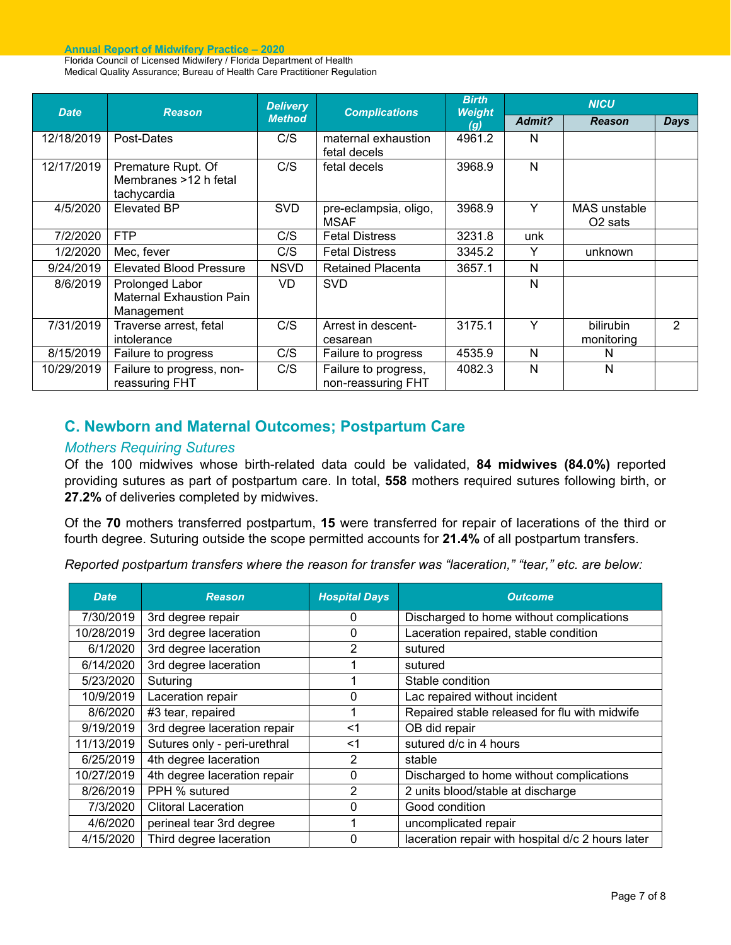**Annual Report of Midwifery Practice – 2020** 

Florida Council of Licensed Midwifery / Florida Department of Health Medical Quality Assurance; Bureau of Health Care Practitioner Regulation

| <b>Date</b> | <b>Reason</b>                                                    | <b>Delivery</b><br><b>Method</b> | <b>Complications</b>                       | <b>Birth</b><br><b>Weight</b><br>(g) | <b>NICU</b>  |                                     |               |
|-------------|------------------------------------------------------------------|----------------------------------|--------------------------------------------|--------------------------------------|--------------|-------------------------------------|---------------|
|             |                                                                  |                                  |                                            |                                      | Admit?       | <b>Reason</b>                       | <b>Days</b>   |
| 12/18/2019  | Post-Dates                                                       | C/S                              | maternal exhaustion<br>fetal decels        | 4961.2                               | N            |                                     |               |
| 12/17/2019  | Premature Rupt. Of<br>Membranes >12 h fetal<br>tachycardia       | C/S                              | fetal decels                               | 3968.9                               | N            |                                     |               |
| 4/5/2020    | <b>Elevated BP</b>                                               | <b>SVD</b>                       | pre-eclampsia, oligo,<br><b>MSAF</b>       | 3968.9                               | Υ            | MAS unstable<br>O <sub>2</sub> sats |               |
| 7/2/2020    | <b>FTP</b>                                                       | C/S                              | <b>Fetal Distress</b>                      | 3231.8                               | unk          |                                     |               |
| 1/2/2020    | Mec, fever                                                       | C/S                              | <b>Fetal Distress</b>                      | 3345.2                               | Y            | unknown                             |               |
| 9/24/2019   | <b>Elevated Blood Pressure</b>                                   | <b>NSVD</b>                      | <b>Retained Placenta</b>                   | 3657.1                               | $\mathsf{N}$ |                                     |               |
| 8/6/2019    | Prolonged Labor<br><b>Maternal Exhaustion Pain</b><br>Management | VD                               | <b>SVD</b>                                 |                                      | N            |                                     |               |
| 7/31/2019   | Traverse arrest, fetal<br>intolerance                            | C/S                              | Arrest in descent-<br>cesarean             | 3175.1                               | Υ            | bilirubin<br>monitoring             | $\mathcal{P}$ |
| 8/15/2019   | Failure to progress                                              | C/S                              | Failure to progress                        | 4535.9                               | N            | N                                   |               |
| 10/29/2019  | Failure to progress, non-<br>reassuring FHT                      | C/S                              | Failure to progress,<br>non-reassuring FHT | 4082.3                               | N            | N                                   |               |

#### **C. Newborn and Maternal Outcomes; Postpartum Care**

#### *Mothers Requiring Sutures*

Of the 100 midwives whose birth-related data could be validated, **84 midwives (84.0%)** reported providing sutures as part of postpartum care. In total, **558** mothers required sutures following birth, or **27.2%** of deliveries completed by midwives.

Of the **70** mothers transferred postpartum, **15** were transferred for repair of lacerations of the third or fourth degree. Suturing outside the scope permitted accounts for **21.4%** of all postpartum transfers.

*Reported postpartum transfers where the reason for transfer was "laceration," "tear," etc. are below:* 

| <b>Date</b> | <b>Reason</b>                | <b>Hospital Days</b> | <b>Outcome</b>                                    |
|-------------|------------------------------|----------------------|---------------------------------------------------|
| 7/30/2019   | 3rd degree repair            | 0                    | Discharged to home without complications          |
| 10/28/2019  | 3rd degree laceration        | 0                    | Laceration repaired, stable condition             |
| 6/1/2020    | 3rd degree laceration        | 2                    | sutured                                           |
| 6/14/2020   | 3rd degree laceration        |                      | sutured                                           |
| 5/23/2020   | Suturing                     |                      | Stable condition                                  |
| 10/9/2019   | Laceration repair            | $\Omega$             | Lac repaired without incident                     |
| 8/6/2020    | #3 tear, repaired            |                      | Repaired stable released for flu with midwife     |
| 9/19/2019   | 3rd degree laceration repair | <1                   | OB did repair                                     |
| 11/13/2019  | Sutures only - peri-urethral | <1                   | sutured d/c in 4 hours                            |
| 6/25/2019   | 4th degree laceration        | 2                    | stable                                            |
| 10/27/2019  | 4th degree laceration repair | $\Omega$             | Discharged to home without complications          |
| 8/26/2019   | PPH % sutured                | 2                    | 2 units blood/stable at discharge                 |
| 7/3/2020    | <b>Clitoral Laceration</b>   | 0                    | Good condition                                    |
| 4/6/2020    | perineal tear 3rd degree     |                      | uncomplicated repair                              |
| 4/15/2020   | Third degree laceration      | $\Omega$             | laceration repair with hospital d/c 2 hours later |